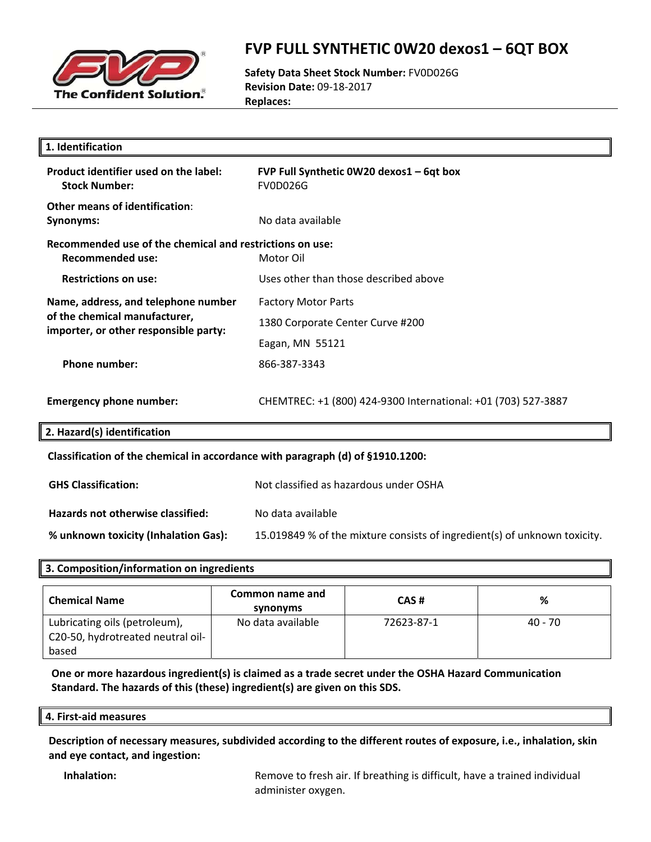

### **FVP FULL SYNTHETIC 0W20 dexos1 – 6QT BOX**

**Safety Data Sheet Stock Number:** FV0D026G **Revision Date:** 09‐18‐2017 **Replaces:**

| 1. Identification                                                                   |                                                                           |  |
|-------------------------------------------------------------------------------------|---------------------------------------------------------------------------|--|
| Product identifier used on the label:<br><b>Stock Number:</b>                       | FVP Full Synthetic 0W20 dexos1 - 6qt box<br><b>FV0D026G</b>               |  |
| <b>Other means of identification:</b><br><b>Synonyms:</b>                           | No data available                                                         |  |
| Recommended use of the chemical and restrictions on use:<br><b>Recommended use:</b> | Motor Oil                                                                 |  |
| <b>Restrictions on use:</b>                                                         | Uses other than those described above                                     |  |
| Name, address, and telephone number                                                 | <b>Factory Motor Parts</b>                                                |  |
| of the chemical manufacturer,<br>importer, or other responsible party:              | 1380 Corporate Center Curve #200                                          |  |
|                                                                                     | Eagan, MN 55121                                                           |  |
| <b>Phone number:</b>                                                                | 866-387-3343                                                              |  |
| <b>Emergency phone number:</b>                                                      | CHEMTREC: +1 (800) 424-9300 International: +01 (703) 527-3887             |  |
| 2. Hazard(s) identification                                                         |                                                                           |  |
| Classification of the chemical in accordance with paragraph (d) of §1910.1200:      |                                                                           |  |
| <b>GHS Classification:</b>                                                          | Not classified as hazardous under OSHA                                    |  |
| Hazards not otherwise classified:                                                   | No data available                                                         |  |
| % unknown toxicity (Inhalation Gas):                                                | 15.019849 % of the mixture consists of ingredient(s) of unknown toxicity. |  |
|                                                                                     |                                                                           |  |

### **3. Composition/information on ingredients**

| <b>Chemical Name</b>              | Common name and<br>synonyms | CAS#       | ℅       |
|-----------------------------------|-----------------------------|------------|---------|
| Lubricating oils (petroleum),     | No data available           | 72623-87-1 | 40 - 70 |
| C20-50, hydrotreated neutral oil- |                             |            |         |
| based                             |                             |            |         |

**One or more hazardous ingredient(s) is claimed as a trade secret under the OSHA Hazard Communication Standard. The hazards of this (these) ingredient(s) are given on this SDS.**

#### **4. First‐aid measures**

**Description of necessary measures, subdivided according to the different routes of exposure, i.e., inhalation, skin and eye contact, and ingestion:**

**Inhalation: Remove to fresh air. If breathing is difficult, have a trained individual** administer oxygen.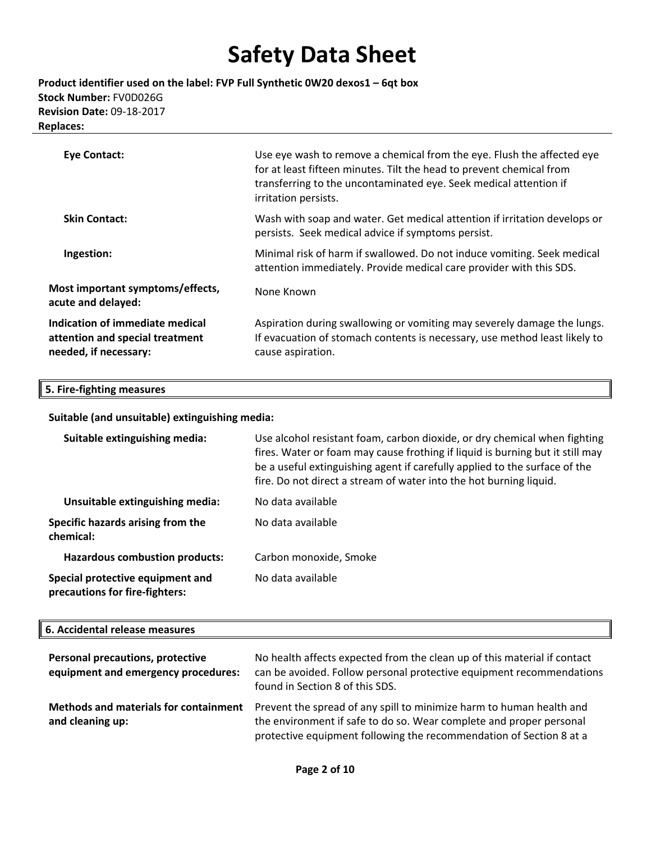**Product identifier used on the label: FVP Full Synthetic 0W20 dexos1 – 6qt box Stock Number:** FV0D026G **Revision Date:** 09‐18‐2017 **Replaces:**

| Eye Contact:                                                                                | Use eye wash to remove a chemical from the eye. Flush the affected eye<br>for at least fifteen minutes. Tilt the head to prevent chemical from<br>transferring to the uncontaminated eye. Seek medical attention if<br>irritation persists. |
|---------------------------------------------------------------------------------------------|---------------------------------------------------------------------------------------------------------------------------------------------------------------------------------------------------------------------------------------------|
| <b>Skin Contact:</b>                                                                        | Wash with soap and water. Get medical attention if irritation develops or<br>persists. Seek medical advice if symptoms persist.                                                                                                             |
| Ingestion:                                                                                  | Minimal risk of harm if swallowed. Do not induce vomiting. Seek medical<br>attention immediately. Provide medical care provider with this SDS.                                                                                              |
| Most important symptoms/effects,<br>acute and delayed:                                      | None Known                                                                                                                                                                                                                                  |
| Indication of immediate medical<br>attention and special treatment<br>needed, if necessary: | Aspiration during swallowing or vomiting may severely damage the lungs.<br>If evacuation of stomach contents is necessary, use method least likely to<br>cause aspiration.                                                                  |

### **5. Fire‐fighting measures**

#### **Suitable (and unsuitable) extinguishing media:**

| Suitable extinguishing media:                                      | Use alcohol resistant foam, carbon dioxide, or dry chemical when fighting<br>fires. Water or foam may cause frothing if liquid is burning but it still may<br>be a useful extinguishing agent if carefully applied to the surface of the<br>fire. Do not direct a stream of water into the hot burning liquid. |
|--------------------------------------------------------------------|----------------------------------------------------------------------------------------------------------------------------------------------------------------------------------------------------------------------------------------------------------------------------------------------------------------|
| Unsuitable extinguishing media:                                    | No data available                                                                                                                                                                                                                                                                                              |
| Specific hazards arising from the<br>chemical:                     | No data available                                                                                                                                                                                                                                                                                              |
| <b>Hazardous combustion products:</b>                              | Carbon monoxide, Smoke                                                                                                                                                                                                                                                                                         |
| Special protective equipment and<br>precautions for fire-fighters: | No data available                                                                                                                                                                                                                                                                                              |

#### **6. Accidental release measures**

| Personal precautions, protective<br>equipment and emergency procedures: | No health affects expected from the clean up of this material if contact<br>can be avoided. Follow personal protective equipment recommendations<br>found in Section 8 of this SDS.                                |
|-------------------------------------------------------------------------|--------------------------------------------------------------------------------------------------------------------------------------------------------------------------------------------------------------------|
| <b>Methods and materials for containment</b><br>and cleaning up:        | Prevent the spread of any spill to minimize harm to human health and<br>the environment if safe to do so. Wear complete and proper personal<br>protective equipment following the recommendation of Section 8 at a |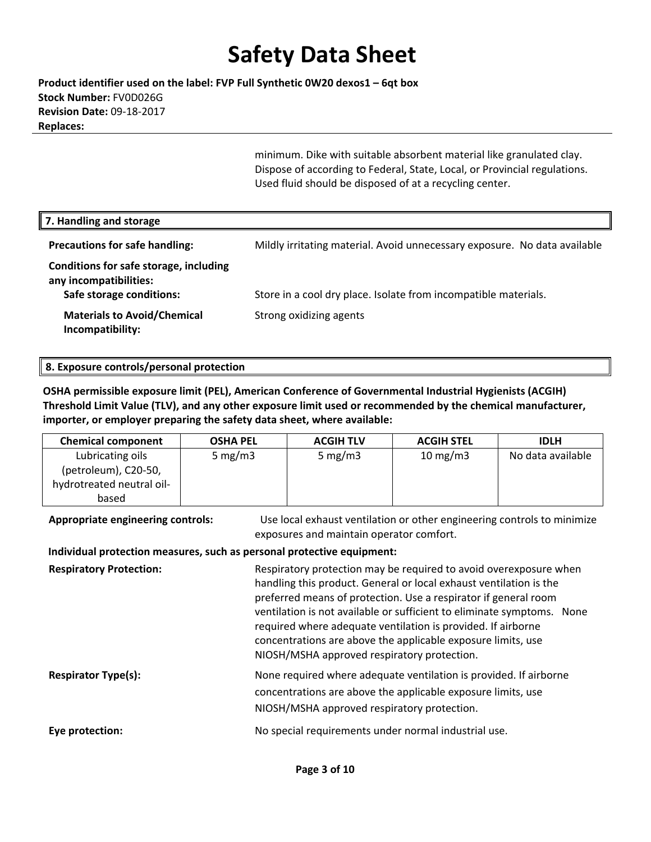**Product identifier used on the label: FVP Full Synthetic 0W20 dexos1 – 6qt box Stock Number:** FV0D026G **Revision Date:** 09‐18‐2017 **Replaces:**

> minimum. Dike with suitable absorbent material like granulated clay. Dispose of according to Federal, State, Local, or Provincial regulations. Used fluid should be disposed of at a recycling center.

| 7. Handling and storage                                                                      |                                                                           |
|----------------------------------------------------------------------------------------------|---------------------------------------------------------------------------|
| <b>Precautions for safe handling:</b>                                                        | Mildly irritating material. Avoid unnecessary exposure. No data available |
| Conditions for safe storage, including<br>any incompatibilities:<br>Safe storage conditions: | Store in a cool dry place. Isolate from incompatible materials.           |
| <b>Materials to Avoid/Chemical</b><br>Incompatibility:                                       | Strong oxidizing agents                                                   |

#### **8. Exposure controls/personal protection**

**OSHA permissible exposure limit (PEL), American Conference of Governmental Industrial Hygienists (ACGIH) Threshold Limit Value (TLV), and any other exposure limit used or recommended by the chemical manufacturer, importer, or employer preparing the safety data sheet, where available:**

| <b>Chemical component</b> | <b>OSHA PEL</b> | <b>ACGIH TLV</b> | <b>ACGIH STEL</b> | <b>IDLH</b>       |
|---------------------------|-----------------|------------------|-------------------|-------------------|
| Lubricating oils          | 5 mg/m $3$      | 5 mg/m $3$       | $10 \text{ mg/m}$ | No data available |
| (petroleum), C20-50,      |                 |                  |                   |                   |
| hydrotreated neutral oil- |                 |                  |                   |                   |
| based                     |                 |                  |                   |                   |

**Appropriate engineering controls:** Use local exhaust ventilation or other engineering controls to minimize exposures and maintain operator comfort.

#### **Individual protection measures, such as personal protective equipment:**

| <b>Respiratory Protection:</b> | Respiratory protection may be required to avoid overexposure when<br>handling this product. General or local exhaust ventilation is the<br>preferred means of protection. Use a respirator if general room<br>ventilation is not available or sufficient to eliminate symptoms. None<br>required where adequate ventilation is provided. If airborne<br>concentrations are above the applicable exposure limits, use<br>NIOSH/MSHA approved respiratory protection. |
|--------------------------------|---------------------------------------------------------------------------------------------------------------------------------------------------------------------------------------------------------------------------------------------------------------------------------------------------------------------------------------------------------------------------------------------------------------------------------------------------------------------|
| <b>Respirator Type(s):</b>     | None required where adequate ventilation is provided. If airborne<br>concentrations are above the applicable exposure limits, use<br>NIOSH/MSHA approved respiratory protection.                                                                                                                                                                                                                                                                                    |
| Eye protection:                | No special requirements under normal industrial use.                                                                                                                                                                                                                                                                                                                                                                                                                |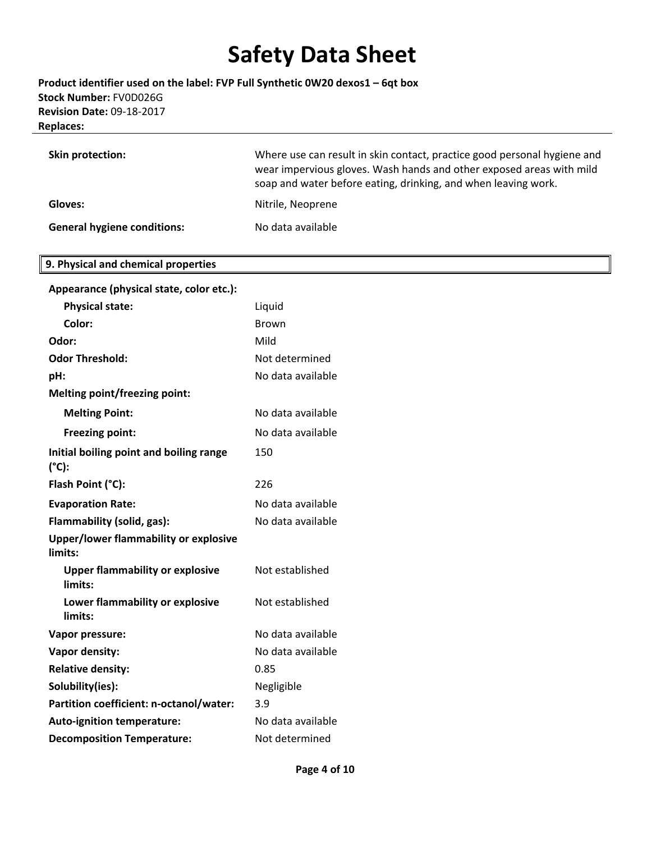**Product identifier used on the label: FVP Full Synthetic 0W20 dexos1 – 6qt box Stock Number:** FV0D026G **Revision Date:** 09‐18‐2017 **Replaces:**

| Skin protection:                   | Where use can result in skin contact, practice good personal hygiene and<br>wear impervious gloves. Wash hands and other exposed areas with mild<br>soap and water before eating, drinking, and when leaving work. |
|------------------------------------|--------------------------------------------------------------------------------------------------------------------------------------------------------------------------------------------------------------------|
| Gloves:                            | Nitrile, Neoprene                                                                                                                                                                                                  |
| <b>General hygiene conditions:</b> | No data available                                                                                                                                                                                                  |

#### **9. Physical and chemical properties**

| Appearance (physical state, color etc.):                   |                   |
|------------------------------------------------------------|-------------------|
| <b>Physical state:</b>                                     | Liquid            |
| Color:                                                     | Brown             |
| Odor:                                                      | Mild              |
| <b>Odor Threshold:</b>                                     | Not determined    |
| pH:                                                        | No data available |
| <b>Melting point/freezing point:</b>                       |                   |
| <b>Melting Point:</b>                                      | No data available |
| <b>Freezing point:</b>                                     | No data available |
| Initial boiling point and boiling range<br>$(^{\circ}C)$ : | 150               |
| Flash Point (°C):                                          | 226               |
| <b>Evaporation Rate:</b>                                   | No data available |
| Flammability (solid, gas):                                 | No data available |
| <b>Upper/lower flammability or explosive</b><br>limits:    |                   |
| <b>Upper flammability or explosive</b><br>limits:          | Not established   |
| Lower flammability or explosive<br>limits:                 | Not established   |
| Vapor pressure:                                            | No data available |
| Vapor density:                                             | No data available |
| <b>Relative density:</b>                                   | 0.85              |
| Solubility(ies):                                           | Negligible        |
| Partition coefficient: n-octanol/water:                    | 3.9               |
| <b>Auto-ignition temperature:</b>                          | No data available |
| <b>Decomposition Temperature:</b>                          | Not determined    |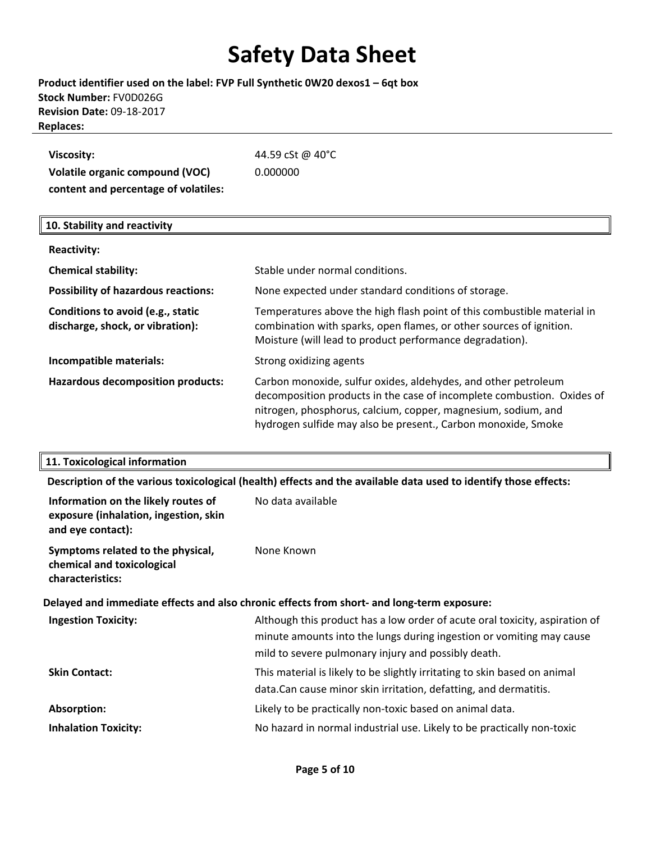### **Product identifier used on the label: FVP Full Synthetic 0W20 dexos1 – 6qt box Stock Number:** FV0D026G **Revision Date:** 09‐18‐2017 **Replaces:**

| Viscosity:                           | 44.59 cSt @ 40°C |
|--------------------------------------|------------------|
| Volatile organic compound (VOC)      | 0.000000         |
| content and percentage of volatiles: |                  |

#### **10. Stability and reactivity**

| <b>Reactivity:</b>                                                    |                                                                                                                                                                                                                                                                            |
|-----------------------------------------------------------------------|----------------------------------------------------------------------------------------------------------------------------------------------------------------------------------------------------------------------------------------------------------------------------|
| <b>Chemical stability:</b>                                            | Stable under normal conditions.                                                                                                                                                                                                                                            |
| <b>Possibility of hazardous reactions:</b>                            | None expected under standard conditions of storage.                                                                                                                                                                                                                        |
| Conditions to avoid (e.g., static<br>discharge, shock, or vibration): | Temperatures above the high flash point of this combustible material in<br>combination with sparks, open flames, or other sources of ignition.<br>Moisture (will lead to product performance degradation).                                                                 |
| Incompatible materials:                                               | Strong oxidizing agents                                                                                                                                                                                                                                                    |
| Hazardous decomposition products:                                     | Carbon monoxide, sulfur oxides, aldehydes, and other petroleum<br>decomposition products in the case of incomplete combustion. Oxides of<br>nitrogen, phosphorus, calcium, copper, magnesium, sodium, and<br>hydrogen sulfide may also be present., Carbon monoxide, Smoke |

#### **11. Toxicological information**

**Description of the various toxicological (health) effects and the available data used to identify those effects:**

| Information on the likely routes of<br>exposure (inhalation, ingestion, skin<br>and eye contact): | No data available                                                                                                                                                                                          |
|---------------------------------------------------------------------------------------------------|------------------------------------------------------------------------------------------------------------------------------------------------------------------------------------------------------------|
| Symptoms related to the physical,<br>chemical and toxicological<br>characteristics:               | None Known                                                                                                                                                                                                 |
|                                                                                                   | Delayed and immediate effects and also chronic effects from short- and long-term exposure:                                                                                                                 |
| <b>Ingestion Toxicity:</b>                                                                        | Although this product has a low order of acute oral toxicity, aspiration of<br>minute amounts into the lungs during ingestion or vomiting may cause<br>mild to severe pulmonary injury and possibly death. |
| <b>Skin Contact:</b>                                                                              | This material is likely to be slightly irritating to skin based on animal<br>data.Can cause minor skin irritation, defatting, and dermatitis.                                                              |
| Absorption:                                                                                       | Likely to be practically non-toxic based on animal data.                                                                                                                                                   |
| <b>Inhalation Toxicity:</b>                                                                       | No hazard in normal industrial use. Likely to be practically non-toxic                                                                                                                                     |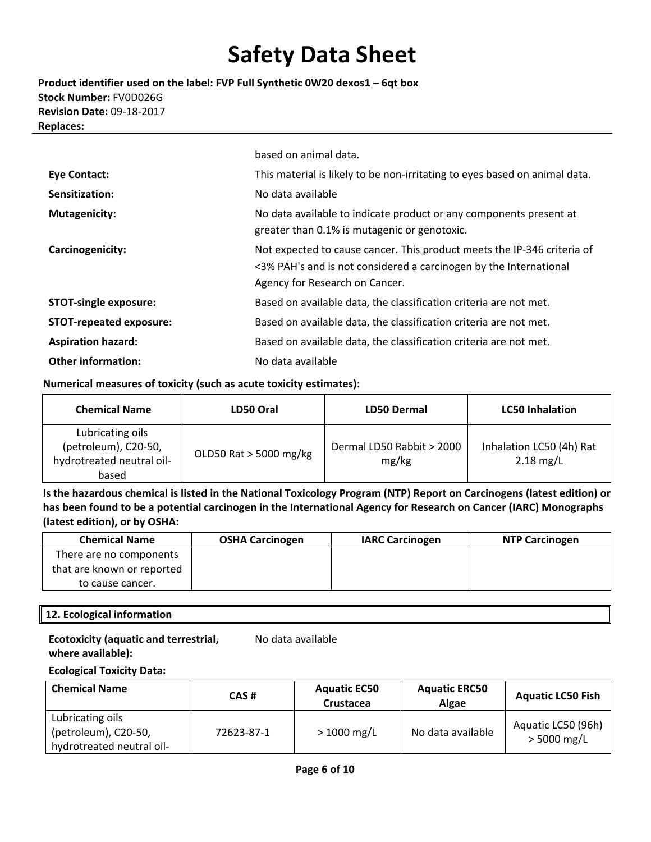**Product identifier used on the label: FVP Full Synthetic 0W20 dexos1 – 6qt box Stock Number:** FV0D026G **Revision Date:** 09‐18‐2017 **Replaces:**

|                                | based on animal data.                                                                                                                                                          |
|--------------------------------|--------------------------------------------------------------------------------------------------------------------------------------------------------------------------------|
| <b>Eye Contact:</b>            | This material is likely to be non-irritating to eyes based on animal data.                                                                                                     |
| Sensitization:                 | No data available                                                                                                                                                              |
| <b>Mutagenicity:</b>           | No data available to indicate product or any components present at<br>greater than 0.1% is mutagenic or genotoxic.                                                             |
| Carcinogenicity:               | Not expected to cause cancer. This product meets the IP-346 criteria of<br><3% PAH's and is not considered a carcinogen by the International<br>Agency for Research on Cancer. |
| <b>STOT-single exposure:</b>   | Based on available data, the classification criteria are not met.                                                                                                              |
| <b>STOT-repeated exposure:</b> | Based on available data, the classification criteria are not met.                                                                                                              |
| <b>Aspiration hazard:</b>      | Based on available data, the classification criteria are not met.                                                                                                              |
| <b>Other information:</b>      | No data available                                                                                                                                                              |

#### **Numerical measures of toxicity (such as acute toxicity estimates):**

| <b>Chemical Name</b>                                                           | LD50 Oral              | <b>LD50 Dermal</b>                 | <b>LC50 Inhalation</b>                  |
|--------------------------------------------------------------------------------|------------------------|------------------------------------|-----------------------------------------|
| Lubricating oils<br>(petroleum), C20-50,<br>hydrotreated neutral oil-<br>based | OLD50 Rat > 5000 mg/kg | Dermal LD50 Rabbit > 2000<br>mg/kg | Inhalation LC50 (4h) Rat<br>$2.18$ mg/L |

Is the hazardous chemical is listed in the National Toxicology Program (NTP) Report on Carcinogens (latest edition) or has been found to be a potential carcinogen in the International Agency for Research on Cancer (IARC) Monographs **(latest edition), or by OSHA:**

| <b>Chemical Name</b>       | <b>OSHA Carcinogen</b> | <b>IARC Carcinogen</b> | <b>NTP Carcinogen</b> |
|----------------------------|------------------------|------------------------|-----------------------|
| There are no components    |                        |                        |                       |
| that are known or reported |                        |                        |                       |
| to cause cancer.           |                        |                        |                       |

#### **12. Ecological information**

#### **Ecotoxicity (aquatic and terrestrial, where available):**

No data available

#### **Ecological Toxicity Data:**

| <b>Chemical Name</b>                                                  | CAS#       | <b>Aquatic EC50</b><br>Crustacea | <b>Aquatic ERC50</b><br><b>Algae</b> | <b>Aquatic LC50 Fish</b>            |
|-----------------------------------------------------------------------|------------|----------------------------------|--------------------------------------|-------------------------------------|
| Lubricating oils<br>(petroleum), C20-50,<br>hydrotreated neutral oil- | 72623-87-1 | $> 1000$ mg/L                    | No data available                    | Aquatic LC50 (96h)<br>$> 5000$ mg/L |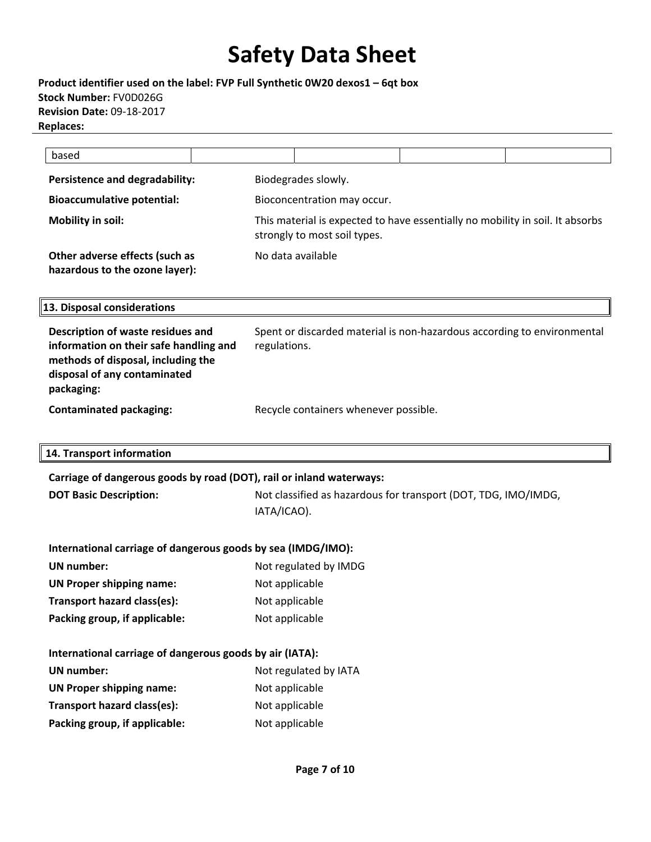**Product identifier used on the label: FVP Full Synthetic 0W20 dexos1 – 6qt box Stock Number:** FV0D026G **Revision Date:** 09‐18‐2017 **Replaces:**

| based                                                            |                                                                                                               |  |  |
|------------------------------------------------------------------|---------------------------------------------------------------------------------------------------------------|--|--|
| Persistence and degradability:                                   | Biodegrades slowly.                                                                                           |  |  |
| <b>Bioaccumulative potential:</b>                                | Bioconcentration may occur.                                                                                   |  |  |
| Mobility in soil:                                                | This material is expected to have essentially no mobility in soil. It absorbs<br>strongly to most soil types. |  |  |
| Other adverse effects (such as<br>hazardous to the ozone layer): | No data available                                                                                             |  |  |

**13. Disposal considerations**

| Description of waste residues and<br>information on their safe handling and<br>methods of disposal, including the<br>disposal of any contaminated<br>packaging: | Spent or discarded material is non-hazardous according to environmental<br>regulations. |
|-----------------------------------------------------------------------------------------------------------------------------------------------------------------|-----------------------------------------------------------------------------------------|
| <b>Contaminated packaging:</b>                                                                                                                                  | Recycle containers whenever possible.                                                   |

**14. Transport information**

**Carriage of dangerous goods by road (DOT), rail or inland waterways:**

**DOT Basic Description:** Not classified as hazardous for transport (DOT, TDG, IMO/IMDG, IATA/ICAO).

| International carriage of dangerous goods by sea (IMDG/IMO): |  |  |
|--------------------------------------------------------------|--|--|
|--------------------------------------------------------------|--|--|

| UN number:                    | Not regulated by IMDG |
|-------------------------------|-----------------------|
| UN Proper shipping name:      | Not applicable        |
| Transport hazard class(es):   | Not applicable        |
| Packing group, if applicable: | Not applicable        |

| International carriage of dangerous goods by air (IATA): |                       |  |
|----------------------------------------------------------|-----------------------|--|
| UN number:                                               | Not regulated by IATA |  |
| <b>UN Proper shipping name:</b>                          | Not applicable        |  |
| Transport hazard class(es):                              | Not applicable        |  |
| Packing group, if applicable:                            | Not applicable        |  |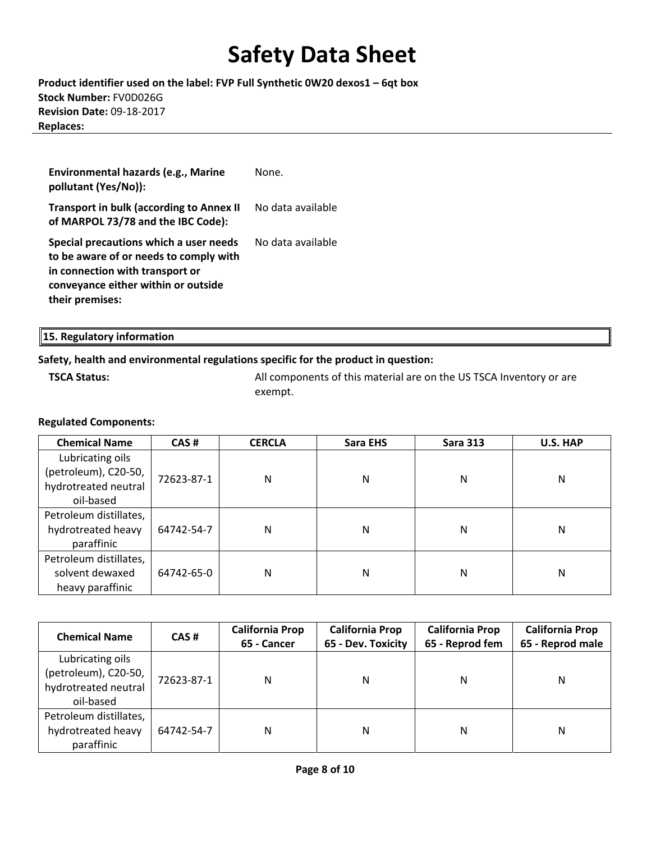**Product identifier used on the label: FVP Full Synthetic 0W20 dexos1 – 6qt box Stock Number:** FV0D026G **Revision Date:** 09‐18‐2017 **Replaces:**

| Environmental hazards (e.g., Marine<br>pollutant (Yes/No)):                                                                                                                   | None.             |
|-------------------------------------------------------------------------------------------------------------------------------------------------------------------------------|-------------------|
| <b>Transport in bulk (according to Annex II</b><br>of MARPOL 73/78 and the IBC Code):                                                                                         | No data available |
| Special precautions which a user needs<br>to be aware of or needs to comply with<br>in connection with transport or<br>conveyance either within or outside<br>their premises: | No data available |

| 15. Regulatory information |  |  |  |
|----------------------------|--|--|--|
|----------------------------|--|--|--|

#### **Safety, health and environmental regulations specific for the product in question:**

**TSCA Status: All components of this material are on the US TSCA Inventory or are** exempt.

#### **Regulated Components:**

| <b>Chemical Name</b>   | CAS#       | <b>CERCLA</b> | Sara EHS | <b>Sara 313</b> | U.S. HAP |
|------------------------|------------|---------------|----------|-----------------|----------|
| Lubricating oils       |            |               |          |                 |          |
| (petroleum), C20-50,   | 72623-87-1 | N             | N        | N               | Ν        |
| hydrotreated neutral   |            |               |          |                 |          |
| oil-based              |            |               |          |                 |          |
| Petroleum distillates, |            |               |          |                 |          |
| hydrotreated heavy     | 64742-54-7 | N             | Ν        | N               | Ν        |
| paraffinic             |            |               |          |                 |          |
| Petroleum distillates, |            |               |          |                 |          |
| solvent dewaxed        | 64742-65-0 | N             | Ν        | Ν               | Ν        |
| heavy paraffinic       |            |               |          |                 |          |

| <b>Chemical Name</b>                                                          | CAS#       | <b>California Prop</b><br>65 - Cancer | <b>California Prop</b><br>65 - Dev. Toxicity | <b>California Prop</b><br>65 - Reprod fem | <b>California Prop</b><br>65 - Reprod male |
|-------------------------------------------------------------------------------|------------|---------------------------------------|----------------------------------------------|-------------------------------------------|--------------------------------------------|
| Lubricating oils<br>(petroleum), C20-50,<br>hydrotreated neutral<br>oil-based | 72623-87-1 | N                                     | N                                            | N                                         | N                                          |
| Petroleum distillates,<br>hydrotreated heavy<br>paraffinic                    | 64742-54-7 | N                                     | Ν                                            | N                                         | N                                          |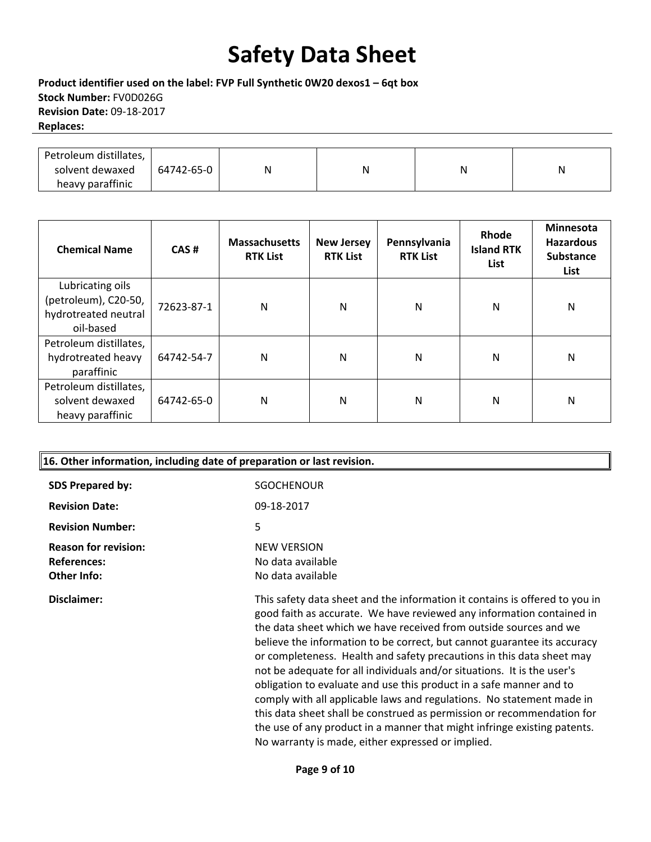**Product identifier used on the label: FVP Full Synthetic 0W20 dexos1 – 6qt box Stock Number:** FV0D026G **Revision Date:** 09‐18‐2017 **Replaces:**

| Petroleum distillates, |            |   |   |   |   |
|------------------------|------------|---|---|---|---|
| solvent dewaxed        | 64742-65-0 | N | N | N | N |
| heavy paraffinic       |            |   |   |   |   |

| <b>Chemical Name</b>   | CAS#       | <b>Massachusetts</b><br><b>RTK List</b> | <b>New Jersey</b><br><b>RTK List</b> | Pennsylvania<br><b>RTK List</b> | Rhode<br><b>Island RTK</b><br>List | Minnesota<br><b>Hazardous</b><br><b>Substance</b><br>List |
|------------------------|------------|-----------------------------------------|--------------------------------------|---------------------------------|------------------------------------|-----------------------------------------------------------|
| Lubricating oils       |            |                                         |                                      |                                 |                                    |                                                           |
| (petroleum), C20-50,   | 72623-87-1 | N                                       | N                                    | N                               | N                                  | N                                                         |
| hydrotreated neutral   |            |                                         |                                      |                                 |                                    |                                                           |
| oil-based              |            |                                         |                                      |                                 |                                    |                                                           |
| Petroleum distillates, |            |                                         |                                      |                                 |                                    |                                                           |
| hydrotreated heavy     | 64742-54-7 | N                                       | N                                    | N                               | N                                  | N                                                         |
| paraffinic             |            |                                         |                                      |                                 |                                    |                                                           |
| Petroleum distillates, |            |                                         |                                      |                                 |                                    |                                                           |
| solvent dewaxed        | 64742-65-0 | N                                       | N                                    | N                               | N                                  | N                                                         |
| heavy paraffinic       |            |                                         |                                      |                                 |                                    |                                                           |

| 16. Other information, including date of preparation or last revision. |                                                                                                                                                                                                                                                                                                                                                                                |  |  |  |
|------------------------------------------------------------------------|--------------------------------------------------------------------------------------------------------------------------------------------------------------------------------------------------------------------------------------------------------------------------------------------------------------------------------------------------------------------------------|--|--|--|
| <b>SDS Prepared by:</b>                                                | <b>SGOCHENOUR</b>                                                                                                                                                                                                                                                                                                                                                              |  |  |  |
| <b>Revision Date:</b>                                                  | 09-18-2017                                                                                                                                                                                                                                                                                                                                                                     |  |  |  |
| <b>Revision Number:</b>                                                | 5                                                                                                                                                                                                                                                                                                                                                                              |  |  |  |
| <b>Reason for revision:</b><br><b>References:</b><br>Other Info:       | <b>NEW VERSION</b><br>No data available<br>No data available                                                                                                                                                                                                                                                                                                                   |  |  |  |
| Disclaimer:                                                            | This safety data sheet and the information it contains is offered to you in<br>good faith as accurate. We have reviewed any information contained in<br>the data sheet which we have received from outside sources and we<br>believe the information to be correct, but cannot guarantee its accuracy<br>or completeness. Health and safety precautions in this data sheet may |  |  |  |

or completeness. Health and safety precautions in this data sheet may not be adequate for all individuals and/or situations. It is the user's obligation to evaluate and use this product in a safe manner and to comply with all applicable laws and regulations. No statement made in this data sheet shall be construed as permission or recommendation for the use of any product in a manner that might infringe existing patents. No warranty is made, either expressed or implied.